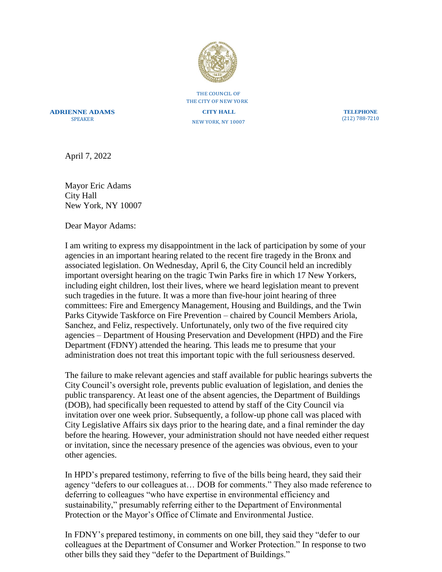

THE COUNCIL OF THE CITY OF NEW YORK

**ADRIENNE ADAMS** SPEAKER

**CITY HALL** NEW YORK, NY 10007

**TELEPHONE** (212) 788-7210

April 7, 2022

Mayor Eric Adams City Hall New York, NY 10007

Dear Mayor Adams:

I am writing to express my disappointment in the lack of participation by some of your agencies in an important hearing related to the recent fire tragedy in the Bronx and associated legislation. On Wednesday, April 6, the City Council held an incredibly important oversight hearing on the tragic Twin Parks fire in which 17 New Yorkers, including eight children, lost their lives, where we heard legislation meant to prevent such tragedies in the future. It was a more than five-hour joint hearing of three committees: Fire and Emergency Management, Housing and Buildings, and the Twin Parks Citywide Taskforce on Fire Prevention – chaired by Council Members Ariola, Sanchez, and Feliz, respectively. Unfortunately, only two of the five required city agencies – Department of Housing Preservation and Development (HPD) and the Fire Department (FDNY) attended the hearing. This leads me to presume that your administration does not treat this important topic with the full seriousness deserved.

The failure to make relevant agencies and staff available for public hearings subverts the City Council's oversight role, prevents public evaluation of legislation, and denies the public transparency. At least one of the absent agencies, the Department of Buildings (DOB), had specifically been requested to attend by staff of the City Council via invitation over one week prior. Subsequently, a follow-up phone call was placed with City Legislative Affairs six days prior to the hearing date, and a final reminder the day before the hearing. However, your administration should not have needed either request or invitation, since the necessary presence of the agencies was obvious, even to your other agencies.

In HPD's prepared testimony, referring to five of the bills being heard, they said their agency "defers to our colleagues at… DOB for comments." They also made reference to deferring to colleagues "who have expertise in environmental efficiency and sustainability," presumably referring either to the Department of Environmental Protection or the Mayor's Office of Climate and Environmental Justice.

In FDNY's prepared testimony, in comments on one bill, they said they "defer to our colleagues at the Department of Consumer and Worker Protection." In response to two other bills they said they "defer to the Department of Buildings."